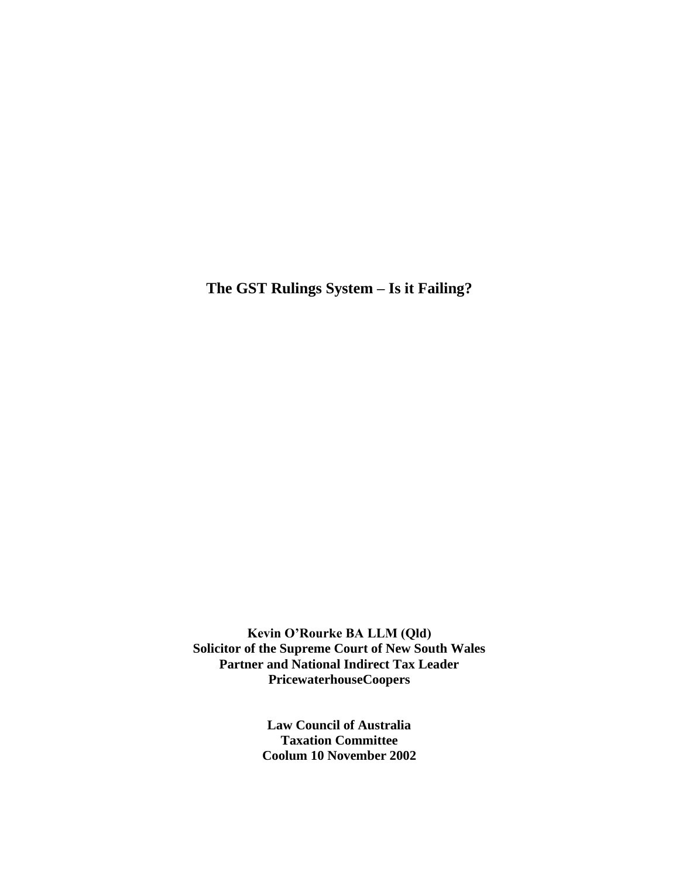**The GST Rulings System – Is it Failing?**

**Kevin O'Rourke BA LLM (Qld) Solicitor of the Supreme Court of New South Wales Partner and National Indirect Tax Leader PricewaterhouseCoopers**

> **Law Council of Australia Taxation Committee Coolum 10 November 2002**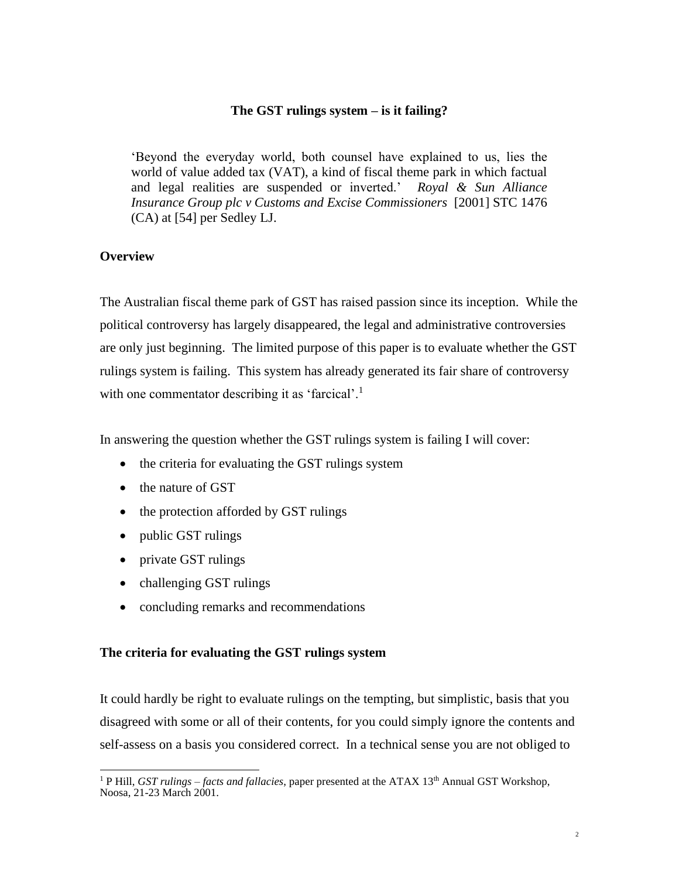## **The GST rulings system – is it failing?**

'Beyond the everyday world, both counsel have explained to us, lies the world of value added tax (VAT), a kind of fiscal theme park in which factual and legal realities are suspended or inverted.' *Royal & Sun Alliance Insurance Group plc v Customs and Excise Commissioners* [2001] STC 1476 (CA) at [54] per Sedley LJ.

# **Overview**

The Australian fiscal theme park of GST has raised passion since its inception. While the political controversy has largely disappeared, the legal and administrative controversies are only just beginning. The limited purpose of this paper is to evaluate whether the GST rulings system is failing. This system has already generated its fair share of controversy with one commentator describing it as 'farcical'.<sup>1</sup>

In answering the question whether the GST rulings system is failing I will cover:

- the criteria for evaluating the GST rulings system
- the nature of GST
- the protection afforded by GST rulings
- public GST rulings
- private GST rulings
- challenging GST rulings
- concluding remarks and recommendations

## **The criteria for evaluating the GST rulings system**

It could hardly be right to evaluate rulings on the tempting, but simplistic, basis that you disagreed with some or all of their contents, for you could simply ignore the contents and self-assess on a basis you considered correct. In a technical sense you are not obliged to

<sup>&</sup>lt;sup>1</sup> P Hill, *GST rulings – facts and fallacies*, paper presented at the ATAX 13<sup>th</sup> Annual GST Workshop, Noosa, 21-23 March 2001.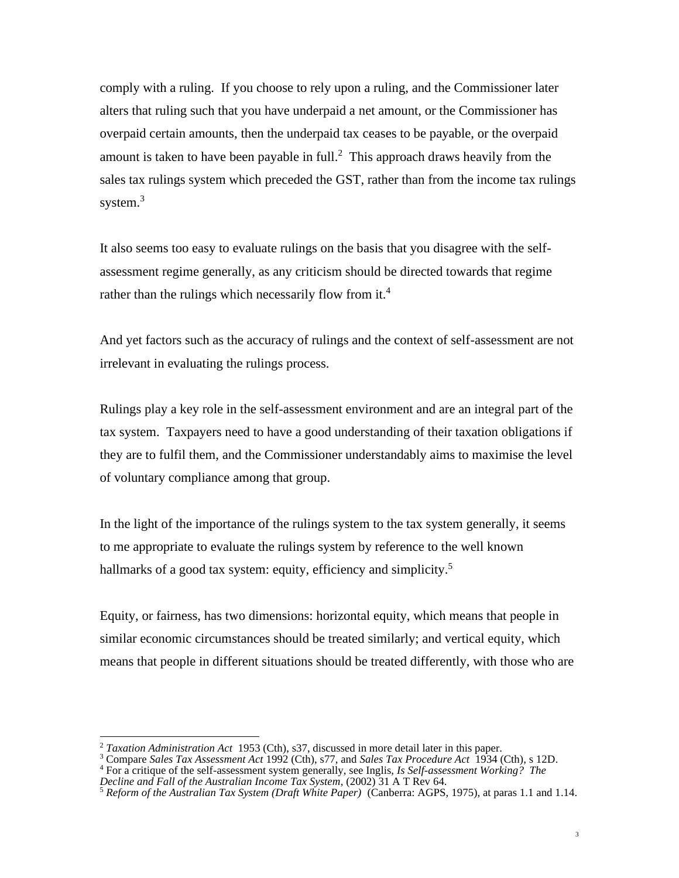comply with a ruling. If you choose to rely upon a ruling, and the Commissioner later alters that ruling such that you have underpaid a net amount, or the Commissioner has overpaid certain amounts, then the underpaid tax ceases to be payable, or the overpaid amount is taken to have been payable in full.<sup>2</sup> This approach draws heavily from the sales tax rulings system which preceded the GST, rather than from the income tax rulings system. $3$ 

It also seems too easy to evaluate rulings on the basis that you disagree with the selfassessment regime generally, as any criticism should be directed towards that regime rather than the rulings which necessarily flow from it.<sup>4</sup>

And yet factors such as the accuracy of rulings and the context of self-assessment are not irrelevant in evaluating the rulings process.

Rulings play a key role in the self-assessment environment and are an integral part of the tax system. Taxpayers need to have a good understanding of their taxation obligations if they are to fulfil them, and the Commissioner understandably aims to maximise the level of voluntary compliance among that group.

In the light of the importance of the rulings system to the tax system generally, it seems to me appropriate to evaluate the rulings system by reference to the well known hallmarks of a good tax system: equity, efficiency and simplicity.<sup>5</sup>

Equity, or fairness, has two dimensions: horizontal equity, which means that people in similar economic circumstances should be treated similarly; and vertical equity, which means that people in different situations should be treated differently, with those who are

<sup>2</sup> *Taxation Administration Act* 1953 (Cth), s37, discussed in more detail later in this paper.

<sup>3</sup> Compare *Sales Tax Assessment Act* 1992 (Cth), s77, and *Sales Tax Procedure Act* 1934 (Cth), s 12D.

<sup>4</sup> For a critique of the self-assessment system generally, see Inglis, *Is Self-assessment Working? The Decline and Fall of the Australian Income Tax System*, (2002) 31 A T Rev 64.

<sup>5</sup> *Reform of the Australian Tax System (Draft White Paper)* (Canberra: AGPS, 1975), at paras 1.1 and 1.14.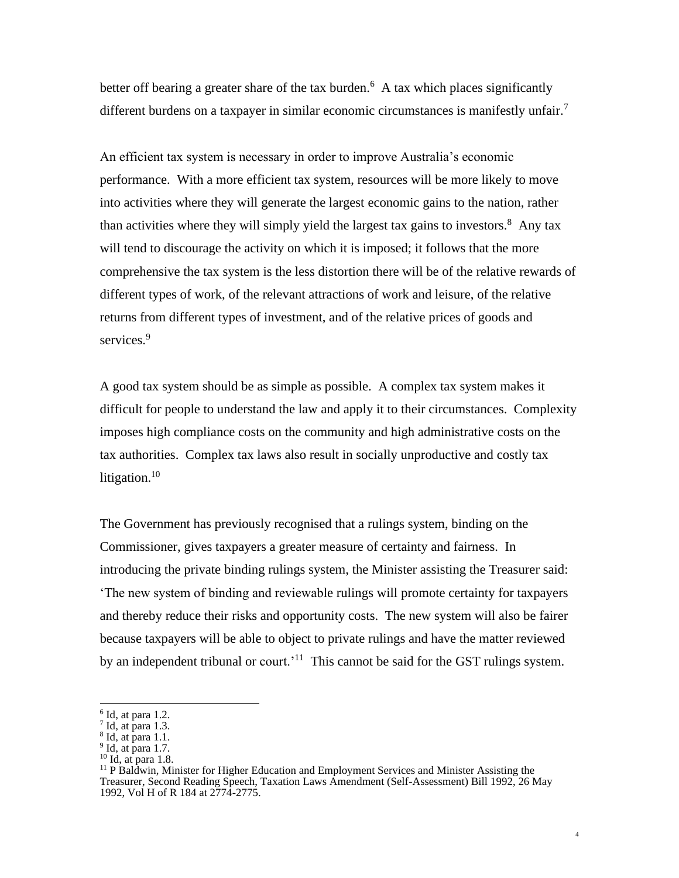better off bearing a greater share of the tax burden.<sup>6</sup> A tax which places significantly different burdens on a taxpayer in similar economic circumstances is manifestly unfair.<sup>7</sup>

An efficient tax system is necessary in order to improve Australia's economic performance. With a more efficient tax system, resources will be more likely to move into activities where they will generate the largest economic gains to the nation, rather than activities where they will simply yield the largest tax gains to investors.<sup>8</sup> Any tax will tend to discourage the activity on which it is imposed; it follows that the more comprehensive the tax system is the less distortion there will be of the relative rewards of different types of work, of the relevant attractions of work and leisure, of the relative returns from different types of investment, and of the relative prices of goods and services.<sup>9</sup>

A good tax system should be as simple as possible. A complex tax system makes it difficult for people to understand the law and apply it to their circumstances. Complexity imposes high compliance costs on the community and high administrative costs on the tax authorities. Complex tax laws also result in socially unproductive and costly tax litigation. $10$ 

The Government has previously recognised that a rulings system, binding on the Commissioner, gives taxpayers a greater measure of certainty and fairness. In introducing the private binding rulings system, the Minister assisting the Treasurer said: 'The new system of binding and reviewable rulings will promote certainty for taxpayers and thereby reduce their risks and opportunity costs. The new system will also be fairer because taxpayers will be able to object to private rulings and have the matter reviewed by an independent tribunal or court.<sup>'11</sup> This cannot be said for the GST rulings system.

 $6$  Id, at para 1.2.

 $<sup>7</sup>$  Id, at para 1.3.</sup>

 $8$  Id, at para 1.1.

 $9$  Id, at para 1.7.

<sup>10</sup> Id, at para 1.8.

<sup>&</sup>lt;sup>11</sup> P Baldwin, Minister for Higher Education and Employment Services and Minister Assisting the Treasurer, Second Reading Speech, Taxation Laws Amendment (Self-Assessment) Bill 1992, 26 May 1992, Vol H of R 184 at 2774-2775.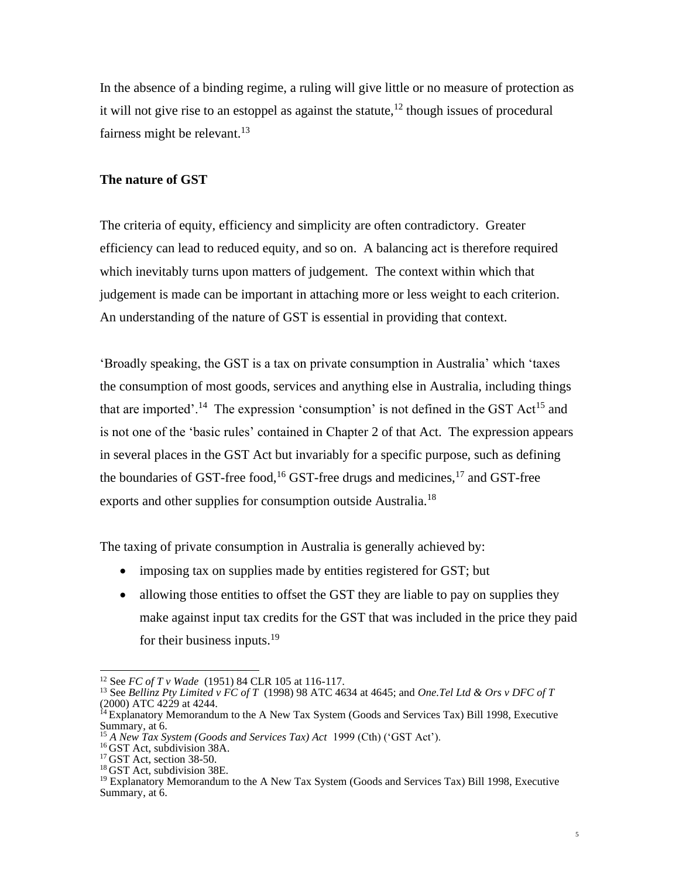In the absence of a binding regime, a ruling will give little or no measure of protection as it will not give rise to an estoppel as against the statute,  $12$  though issues of procedural fairness might be relevant.<sup>13</sup>

## **The nature of GST**

The criteria of equity, efficiency and simplicity are often contradictory. Greater efficiency can lead to reduced equity, and so on. A balancing act is therefore required which inevitably turns upon matters of judgement. The context within which that judgement is made can be important in attaching more or less weight to each criterion. An understanding of the nature of GST is essential in providing that context.

'Broadly speaking, the GST is a tax on private consumption in Australia' which 'taxes the consumption of most goods, services and anything else in Australia, including things that are imported'.<sup>14</sup> The expression 'consumption' is not defined in the GST Act<sup>15</sup> and is not one of the 'basic rules' contained in Chapter 2 of that Act. The expression appears in several places in the GST Act but invariably for a specific purpose, such as defining the boundaries of GST-free food,<sup>16</sup> GST-free drugs and medicines,<sup>17</sup> and GST-free exports and other supplies for consumption outside Australia.<sup>18</sup>

The taxing of private consumption in Australia is generally achieved by:

- imposing tax on supplies made by entities registered for GST; but
- allowing those entities to offset the GST they are liable to pay on supplies they make against input tax credits for the GST that was included in the price they paid for their business inputs. $19$

<sup>12</sup> See *FC of T v Wade* (1951) 84 CLR 105 at 116-117.

<sup>13</sup> See *Bellinz Pty Limited v FC of T* (1998) 98 ATC 4634 at 4645; and *One.Tel Ltd & Ors v DFC of T* (2000) ATC 4229 at 4244.

<sup>&</sup>lt;sup>14</sup> Explanatory Memorandum to the A New Tax System (Goods and Services Tax) Bill 1998, Executive Summary, at 6.

<sup>15</sup> *A New Tax System (Goods and Services Tax) Act* 1999 (Cth) ('GST Act').

<sup>16</sup> GST Act, subdivision 38A.

<sup>&</sup>lt;sup>17</sup> GST Act, section 38-50.

<sup>&</sup>lt;sup>18</sup> GST Act, subdivision 38E.

<sup>&</sup>lt;sup>19</sup> Explanatory Memorandum to the A New Tax System (Goods and Services Tax) Bill 1998, Executive Summary, at 6.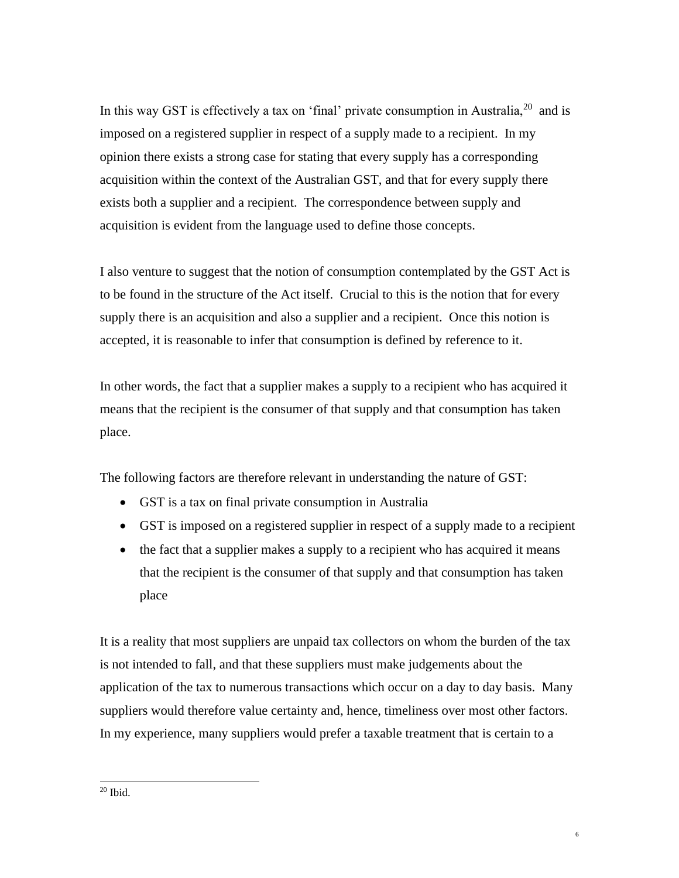In this way GST is effectively a tax on 'final' private consumption in Australia, $20$  and is imposed on a registered supplier in respect of a supply made to a recipient. In my opinion there exists a strong case for stating that every supply has a corresponding acquisition within the context of the Australian GST, and that for every supply there exists both a supplier and a recipient. The correspondence between supply and acquisition is evident from the language used to define those concepts.

I also venture to suggest that the notion of consumption contemplated by the GST Act is to be found in the structure of the Act itself. Crucial to this is the notion that for every supply there is an acquisition and also a supplier and a recipient. Once this notion is accepted, it is reasonable to infer that consumption is defined by reference to it.

In other words, the fact that a supplier makes a supply to a recipient who has acquired it means that the recipient is the consumer of that supply and that consumption has taken place.

The following factors are therefore relevant in understanding the nature of GST:

- GST is a tax on final private consumption in Australia
- GST is imposed on a registered supplier in respect of a supply made to a recipient
- the fact that a supplier makes a supply to a recipient who has acquired it means that the recipient is the consumer of that supply and that consumption has taken place

It is a reality that most suppliers are unpaid tax collectors on whom the burden of the tax is not intended to fall, and that these suppliers must make judgements about the application of the tax to numerous transactions which occur on a day to day basis. Many suppliers would therefore value certainty and, hence, timeliness over most other factors. In my experience, many suppliers would prefer a taxable treatment that is certain to a

 $^{\rm 20}$  Ibid.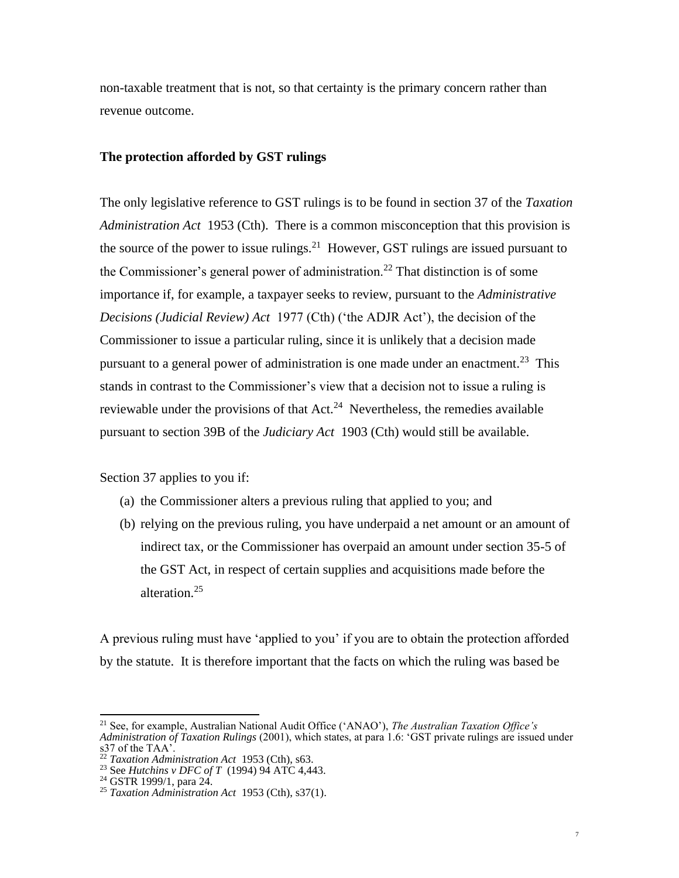non-taxable treatment that is not, so that certainty is the primary concern rather than revenue outcome.

#### **The protection afforded by GST rulings**

The only legislative reference to GST rulings is to be found in section 37 of the *Taxation Administration Act* 1953 (Cth). There is a common misconception that this provision is the source of the power to issue rulings.<sup>21</sup> However, GST rulings are issued pursuant to the Commissioner's general power of administration.<sup>22</sup> That distinction is of some importance if, for example, a taxpayer seeks to review, pursuant to the *Administrative Decisions (Judicial Review) Act* 1977 (Cth) ('the ADJR Act'), the decision of the Commissioner to issue a particular ruling, since it is unlikely that a decision made pursuant to a general power of administration is one made under an enactment.<sup>23</sup> This stands in contrast to the Commissioner's view that a decision not to issue a ruling is reviewable under the provisions of that  $Act.^{24}$  Nevertheless, the remedies available pursuant to section 39B of the *Judiciary Act* 1903 (Cth) would still be available.

Section 37 applies to you if:

- (a) the Commissioner alters a previous ruling that applied to you; and
- (b) relying on the previous ruling, you have underpaid a net amount or an amount of indirect tax, or the Commissioner has overpaid an amount under section 35-5 of the GST Act, in respect of certain supplies and acquisitions made before the alteration.<sup>25</sup>

A previous ruling must have 'applied to you' if you are to obtain the protection afforded by the statute. It is therefore important that the facts on which the ruling was based be

<sup>21</sup> See, for example, Australian National Audit Office ('ANAO'), *The Australian Taxation Office's Administration of Taxation Rulings* (2001), which states, at para 1.6: 'GST private rulings are issued under s37 of the TAA'.

<sup>22</sup> *Taxation Administration Act* 1953 (Cth), s63.

<sup>&</sup>lt;sup>23</sup> See *Hutchins v DFC of T* (1994) 94 ATC 4,443.

 $24$  GSTR 1999/1, para 24.

<sup>25</sup> *Taxation Administration Act* 1953 (Cth), s37(1).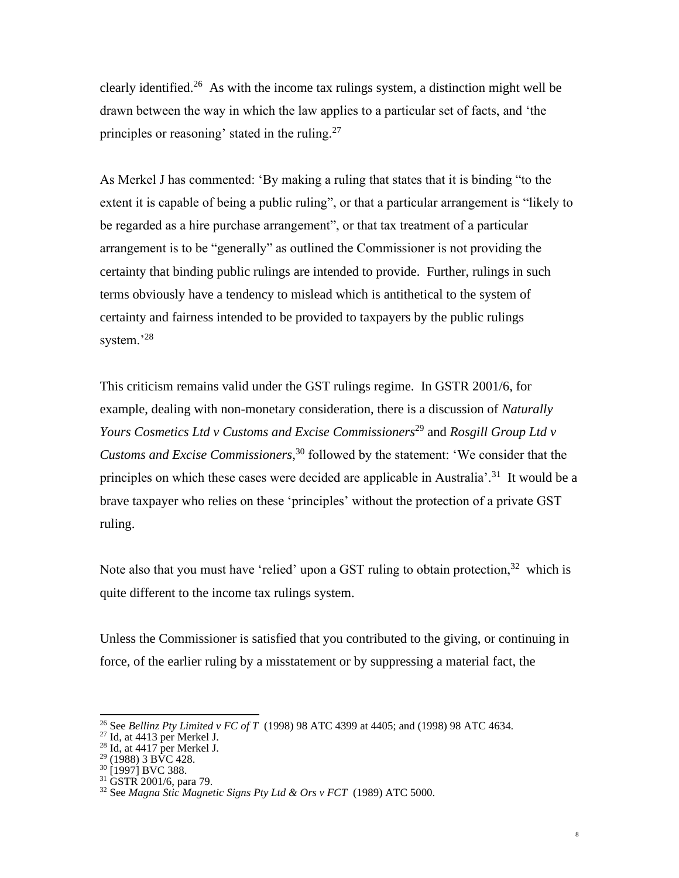clearly identified.<sup>26</sup> As with the income tax rulings system, a distinction might well be drawn between the way in which the law applies to a particular set of facts, and 'the principles or reasoning' stated in the ruling.<sup>27</sup>

As Merkel J has commented: 'By making a ruling that states that it is binding "to the extent it is capable of being a public ruling", or that a particular arrangement is "likely to be regarded as a hire purchase arrangement", or that tax treatment of a particular arrangement is to be "generally" as outlined the Commissioner is not providing the certainty that binding public rulings are intended to provide. Further, rulings in such terms obviously have a tendency to mislead which is antithetical to the system of certainty and fairness intended to be provided to taxpayers by the public rulings system.'<sup>28</sup>

This criticism remains valid under the GST rulings regime. In GSTR 2001/6, for example, dealing with non-monetary consideration, there is a discussion of *Naturally Yours Cosmetics Ltd v Customs and Excise Commissioners*<sup>29</sup> and *Rosgill Group Ltd v Customs and Excise Commissioners*, <sup>30</sup> followed by the statement: 'We consider that the principles on which these cases were decided are applicable in Australia<sup>'</sup>.<sup>31</sup> It would be a brave taxpayer who relies on these 'principles' without the protection of a private GST ruling.

Note also that you must have 'relied' upon a GST ruling to obtain protection,  $32$  which is quite different to the income tax rulings system.

Unless the Commissioner is satisfied that you contributed to the giving, or continuing in force, of the earlier ruling by a misstatement or by suppressing a material fact, the

<sup>26</sup> See *Bellinz Pty Limited v FC of T* (1998) 98 ATC 4399 at 4405; and (1998) 98 ATC 4634.

 $27$  Id, at 4413 per Merkel J.

 $28$  Id, at 4417 per Merkel J.

<sup>&</sup>lt;sup>29</sup> (1988) 3 BVC 428.

<sup>30</sup> [1997] BVC 388.

 $31$  GSTR 2001/6, para 79.

<sup>32</sup> See *Magna Stic Magnetic Signs Pty Ltd & Ors v FCT* (1989) ATC 5000.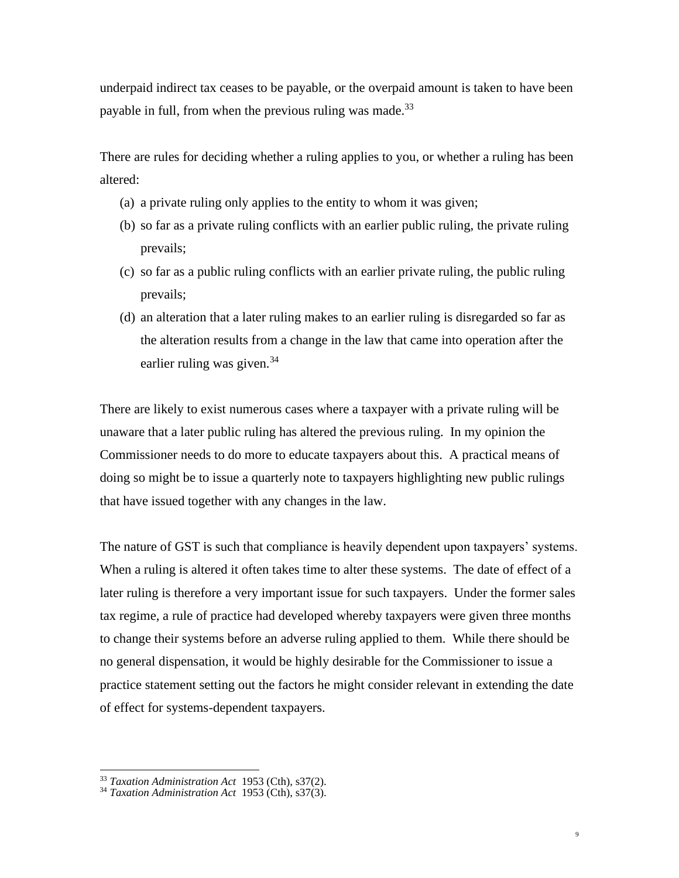underpaid indirect tax ceases to be payable, or the overpaid amount is taken to have been payable in full, from when the previous ruling was made.<sup>33</sup>

There are rules for deciding whether a ruling applies to you, or whether a ruling has been altered:

- (a) a private ruling only applies to the entity to whom it was given;
- (b) so far as a private ruling conflicts with an earlier public ruling, the private ruling prevails;
- (c) so far as a public ruling conflicts with an earlier private ruling, the public ruling prevails;
- (d) an alteration that a later ruling makes to an earlier ruling is disregarded so far as the alteration results from a change in the law that came into operation after the earlier ruling was given.<sup>34</sup>

There are likely to exist numerous cases where a taxpayer with a private ruling will be unaware that a later public ruling has altered the previous ruling. In my opinion the Commissioner needs to do more to educate taxpayers about this. A practical means of doing so might be to issue a quarterly note to taxpayers highlighting new public rulings that have issued together with any changes in the law.

The nature of GST is such that compliance is heavily dependent upon taxpayers' systems. When a ruling is altered it often takes time to alter these systems. The date of effect of a later ruling is therefore a very important issue for such taxpayers. Under the former sales tax regime, a rule of practice had developed whereby taxpayers were given three months to change their systems before an adverse ruling applied to them. While there should be no general dispensation, it would be highly desirable for the Commissioner to issue a practice statement setting out the factors he might consider relevant in extending the date of effect for systems-dependent taxpayers.

9

<sup>33</sup> *Taxation Administration Act* 1953 (Cth), s37(2).

<sup>34</sup> *Taxation Administration Act* 1953 (Cth), s37(3).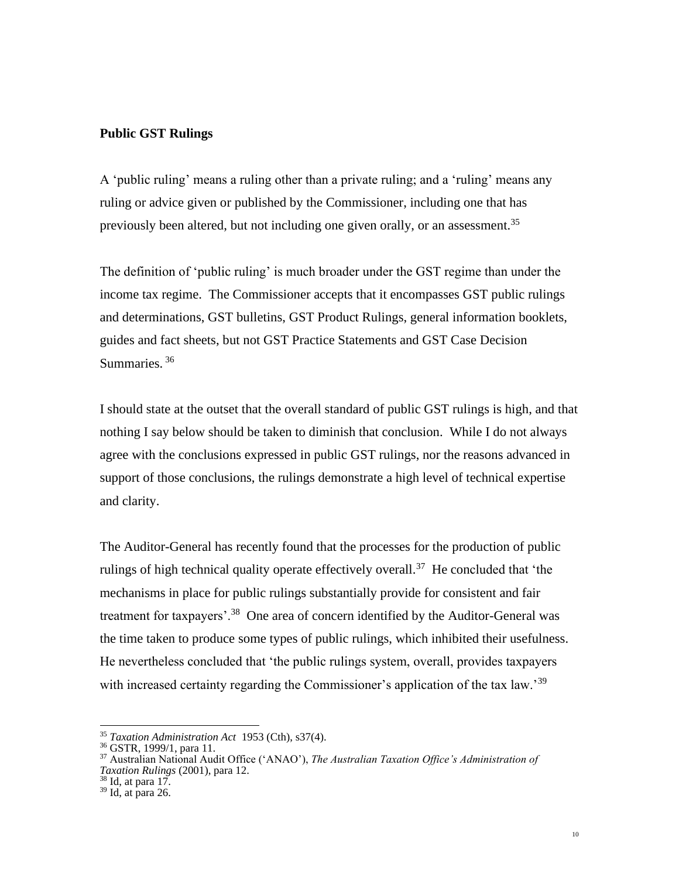## **Public GST Rulings**

A 'public ruling' means a ruling other than a private ruling; and a 'ruling' means any ruling or advice given or published by the Commissioner, including one that has previously been altered, but not including one given orally, or an assessment.<sup>35</sup>

The definition of 'public ruling' is much broader under the GST regime than under the income tax regime. The Commissioner accepts that it encompasses GST public rulings and determinations, GST bulletins, GST Product Rulings, general information booklets, guides and fact sheets, but not GST Practice Statements and GST Case Decision Summaries.<sup>36</sup>

I should state at the outset that the overall standard of public GST rulings is high, and that nothing I say below should be taken to diminish that conclusion. While I do not always agree with the conclusions expressed in public GST rulings, nor the reasons advanced in support of those conclusions, the rulings demonstrate a high level of technical expertise and clarity.

The Auditor-General has recently found that the processes for the production of public rulings of high technical quality operate effectively overall.<sup>37</sup> He concluded that 'the mechanisms in place for public rulings substantially provide for consistent and fair treatment for taxpayers'.<sup>38</sup> One area of concern identified by the Auditor-General was the time taken to produce some types of public rulings, which inhibited their usefulness. He nevertheless concluded that 'the public rulings system, overall, provides taxpayers with increased certainty regarding the Commissioner's application of the tax law.<sup>39</sup>

<sup>35</sup> *Taxation Administration Act* 1953 (Cth), s37(4).

<sup>36</sup> GSTR, 1999/1, para 11.

<sup>37</sup> Australian National Audit Office ('ANAO'), *The Australian Taxation Office's Administration of Taxation Rulings* (2001), para 12.

 $38$  Id, at para 17.

<sup>39</sup> Id, at para 26.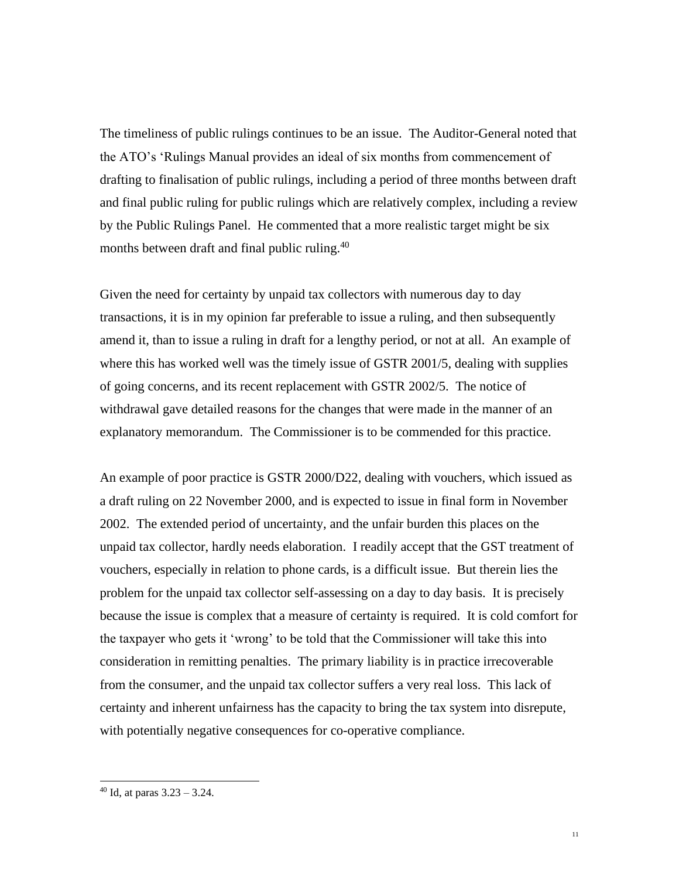The timeliness of public rulings continues to be an issue. The Auditor-General noted that the ATO's 'Rulings Manual provides an ideal of six months from commencement of drafting to finalisation of public rulings, including a period of three months between draft and final public ruling for public rulings which are relatively complex, including a review by the Public Rulings Panel. He commented that a more realistic target might be six months between draft and final public ruling.<sup>40</sup>

Given the need for certainty by unpaid tax collectors with numerous day to day transactions, it is in my opinion far preferable to issue a ruling, and then subsequently amend it, than to issue a ruling in draft for a lengthy period, or not at all. An example of where this has worked well was the timely issue of GSTR 2001/5, dealing with supplies of going concerns, and its recent replacement with GSTR 2002/5. The notice of withdrawal gave detailed reasons for the changes that were made in the manner of an explanatory memorandum. The Commissioner is to be commended for this practice.

An example of poor practice is GSTR 2000/D22, dealing with vouchers, which issued as a draft ruling on 22 November 2000, and is expected to issue in final form in November 2002. The extended period of uncertainty, and the unfair burden this places on the unpaid tax collector, hardly needs elaboration. I readily accept that the GST treatment of vouchers, especially in relation to phone cards, is a difficult issue. But therein lies the problem for the unpaid tax collector self-assessing on a day to day basis. It is precisely because the issue is complex that a measure of certainty is required. It is cold comfort for the taxpayer who gets it 'wrong' to be told that the Commissioner will take this into consideration in remitting penalties. The primary liability is in practice irrecoverable from the consumer, and the unpaid tax collector suffers a very real loss. This lack of certainty and inherent unfairness has the capacity to bring the tax system into disrepute, with potentially negative consequences for co-operative compliance.

 $40$  Id, at paras  $3.23 - 3.24$ .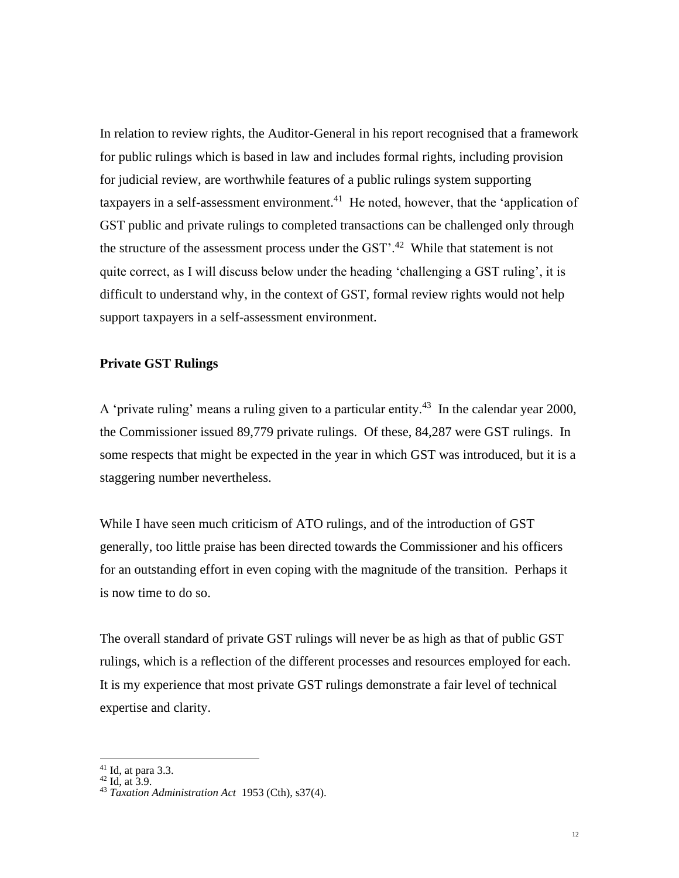In relation to review rights, the Auditor-General in his report recognised that a framework for public rulings which is based in law and includes formal rights, including provision for judicial review, are worthwhile features of a public rulings system supporting taxpayers in a self-assessment environment.<sup>41</sup> He noted, however, that the 'application of GST public and private rulings to completed transactions can be challenged only through the structure of the assessment process under the  $\text{GST}$ <sup>2</sup>.<sup>42</sup> While that statement is not quite correct, as I will discuss below under the heading 'challenging a GST ruling', it is difficult to understand why, in the context of GST, formal review rights would not help support taxpayers in a self-assessment environment.

## **Private GST Rulings**

A 'private ruling' means a ruling given to a particular entity.<sup>43</sup> In the calendar year 2000, the Commissioner issued 89,779 private rulings. Of these, 84,287 were GST rulings. In some respects that might be expected in the year in which GST was introduced, but it is a staggering number nevertheless.

While I have seen much criticism of ATO rulings, and of the introduction of GST generally, too little praise has been directed towards the Commissioner and his officers for an outstanding effort in even coping with the magnitude of the transition. Perhaps it is now time to do so.

The overall standard of private GST rulings will never be as high as that of public GST rulings, which is a reflection of the different processes and resources employed for each. It is my experience that most private GST rulings demonstrate a fair level of technical expertise and clarity.

 $41$  Id, at para 3.3.

 $42$  Id, at 3.9.

<sup>43</sup> *Taxation Administration Act* 1953 (Cth), s37(4).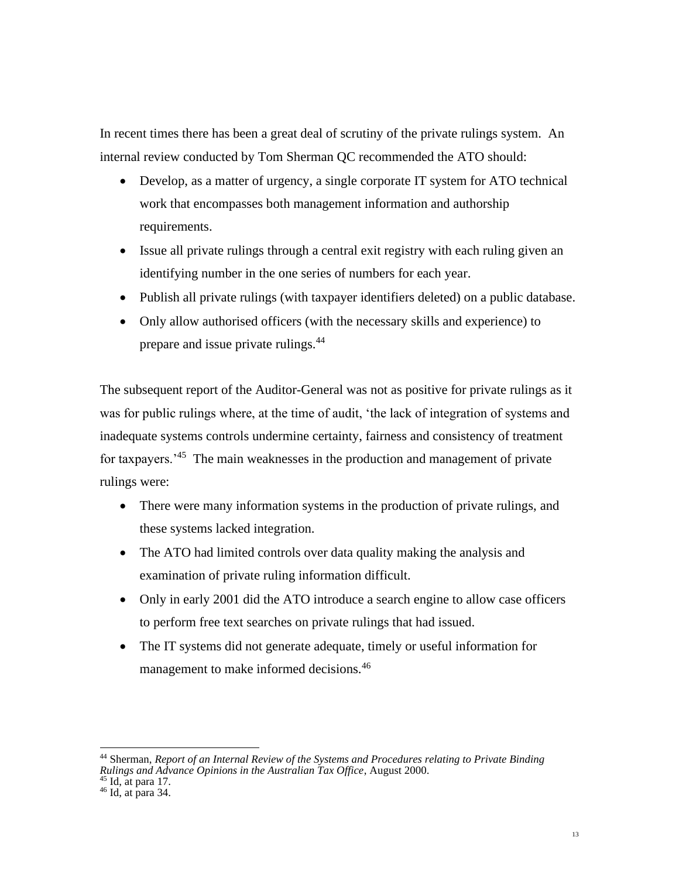In recent times there has been a great deal of scrutiny of the private rulings system. An internal review conducted by Tom Sherman QC recommended the ATO should:

- Develop, as a matter of urgency, a single corporate IT system for ATO technical work that encompasses both management information and authorship requirements.
- Issue all private rulings through a central exit registry with each ruling given an identifying number in the one series of numbers for each year.
- Publish all private rulings (with taxpayer identifiers deleted) on a public database.
- Only allow authorised officers (with the necessary skills and experience) to prepare and issue private rulings.<sup>44</sup>

The subsequent report of the Auditor-General was not as positive for private rulings as it was for public rulings where, at the time of audit, 'the lack of integration of systems and inadequate systems controls undermine certainty, fairness and consistency of treatment for taxpayers.<sup>45</sup> The main weaknesses in the production and management of private rulings were:

- There were many information systems in the production of private rulings, and these systems lacked integration.
- The ATO had limited controls over data quality making the analysis and examination of private ruling information difficult.
- Only in early 2001 did the ATO introduce a search engine to allow case officers to perform free text searches on private rulings that had issued.
- The IT systems did not generate adequate, timely or useful information for management to make informed decisions.<sup>46</sup>

<sup>44</sup> Sherman, *Report of an Internal Review of the Systems and Procedures relating to Private Binding Rulings and Advance Opinions in the Australian Tax Office*, August 2000.

 $45$  Id, at para 17.

 $46$  Id, at para 34.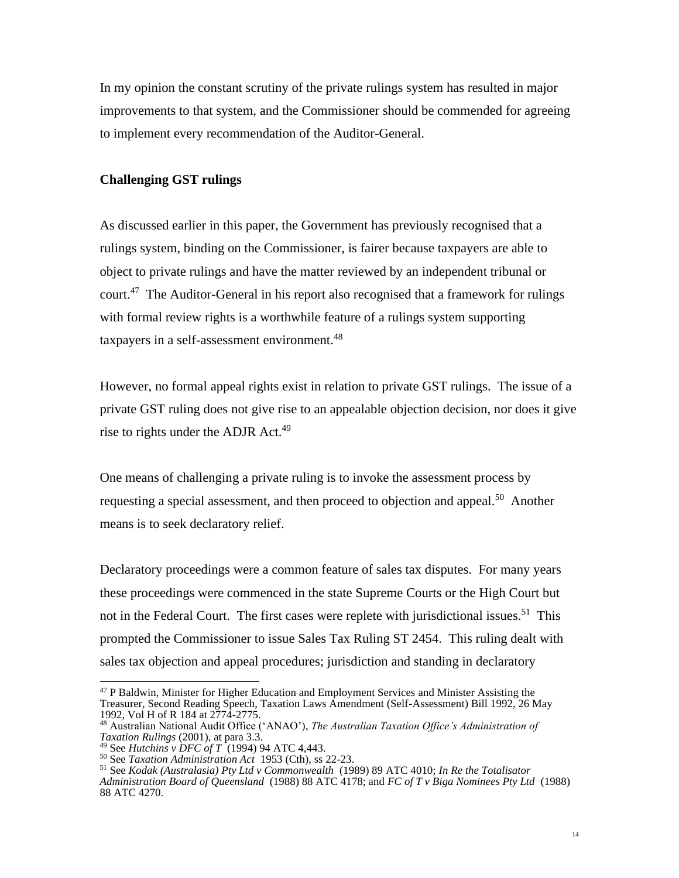In my opinion the constant scrutiny of the private rulings system has resulted in major improvements to that system, and the Commissioner should be commended for agreeing to implement every recommendation of the Auditor-General.

## **Challenging GST rulings**

As discussed earlier in this paper, the Government has previously recognised that a rulings system, binding on the Commissioner, is fairer because taxpayers are able to object to private rulings and have the matter reviewed by an independent tribunal or court.<sup>47</sup> The Auditor-General in his report also recognised that a framework for rulings with formal review rights is a worthwhile feature of a rulings system supporting taxpayers in a self-assessment environment.<sup>48</sup>

However, no formal appeal rights exist in relation to private GST rulings. The issue of a private GST ruling does not give rise to an appealable objection decision, nor does it give rise to rights under the ADJR  $Act.^{49}$ 

One means of challenging a private ruling is to invoke the assessment process by requesting a special assessment, and then proceed to objection and appeal.<sup>50</sup> Another means is to seek declaratory relief.

Declaratory proceedings were a common feature of sales tax disputes. For many years these proceedings were commenced in the state Supreme Courts or the High Court but not in the Federal Court. The first cases were replete with jurisdictional issues.<sup>51</sup> This prompted the Commissioner to issue Sales Tax Ruling ST 2454. This ruling dealt with sales tax objection and appeal procedures; jurisdiction and standing in declaratory

<sup>&</sup>lt;sup>47</sup> P Baldwin, Minister for Higher Education and Employment Services and Minister Assisting the Treasurer, Second Reading Speech, Taxation Laws Amendment (Self-Assessment) Bill 1992, 26 May 1992, Vol H of R 184 at 2774-2775.

<sup>48</sup> Australian National Audit Office ('ANAO'), *The Australian Taxation Office's Administration of Taxation Rulings* (2001), at para 3.3.

<sup>49</sup> See *Hutchins v DFC of T* (1994) 94 ATC 4,443.

<sup>50</sup> See *Taxation Administration Act* 1953 (Cth), ss 22-23.

<sup>51</sup> See *Kodak (Australasia) Pty Ltd v Commonwealth* (1989) 89 ATC 4010; *In Re the Totalisator Administration Board of Queensland* (1988) 88 ATC 4178; and *FC of T v Biga Nominees Pty Ltd* (1988) 88 ATC 4270.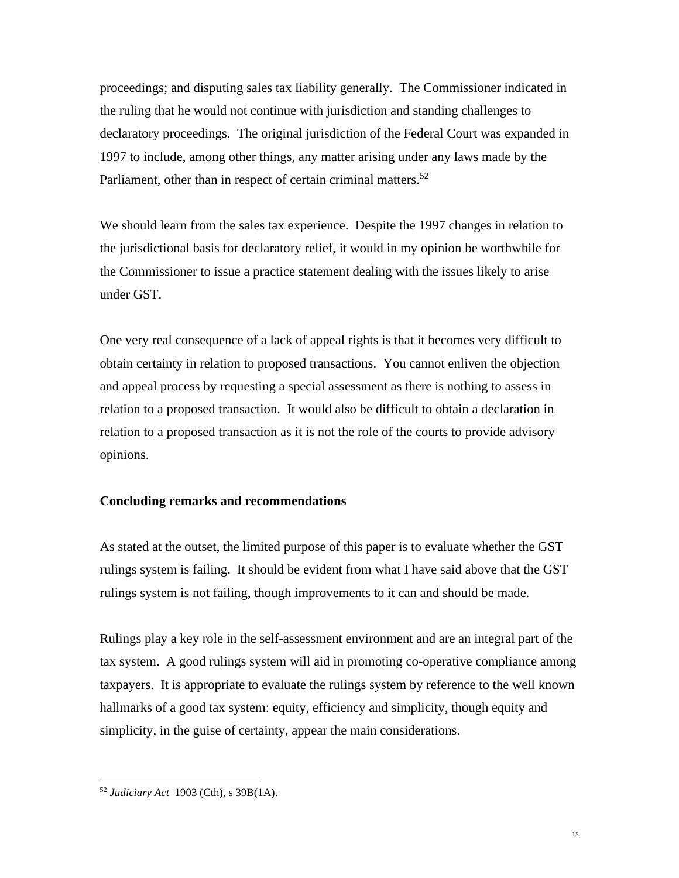proceedings; and disputing sales tax liability generally. The Commissioner indicated in the ruling that he would not continue with jurisdiction and standing challenges to declaratory proceedings. The original jurisdiction of the Federal Court was expanded in 1997 to include, among other things, any matter arising under any laws made by the Parliament, other than in respect of certain criminal matters.<sup>52</sup>

We should learn from the sales tax experience. Despite the 1997 changes in relation to the jurisdictional basis for declaratory relief, it would in my opinion be worthwhile for the Commissioner to issue a practice statement dealing with the issues likely to arise under GST.

One very real consequence of a lack of appeal rights is that it becomes very difficult to obtain certainty in relation to proposed transactions. You cannot enliven the objection and appeal process by requesting a special assessment as there is nothing to assess in relation to a proposed transaction. It would also be difficult to obtain a declaration in relation to a proposed transaction as it is not the role of the courts to provide advisory opinions.

## **Concluding remarks and recommendations**

As stated at the outset, the limited purpose of this paper is to evaluate whether the GST rulings system is failing. It should be evident from what I have said above that the GST rulings system is not failing, though improvements to it can and should be made.

Rulings play a key role in the self-assessment environment and are an integral part of the tax system. A good rulings system will aid in promoting co-operative compliance among taxpayers. It is appropriate to evaluate the rulings system by reference to the well known hallmarks of a good tax system: equity, efficiency and simplicity, though equity and simplicity, in the guise of certainty, appear the main considerations.

<sup>52</sup> *Judiciary Act* 1903 (Cth), s 39B(1A).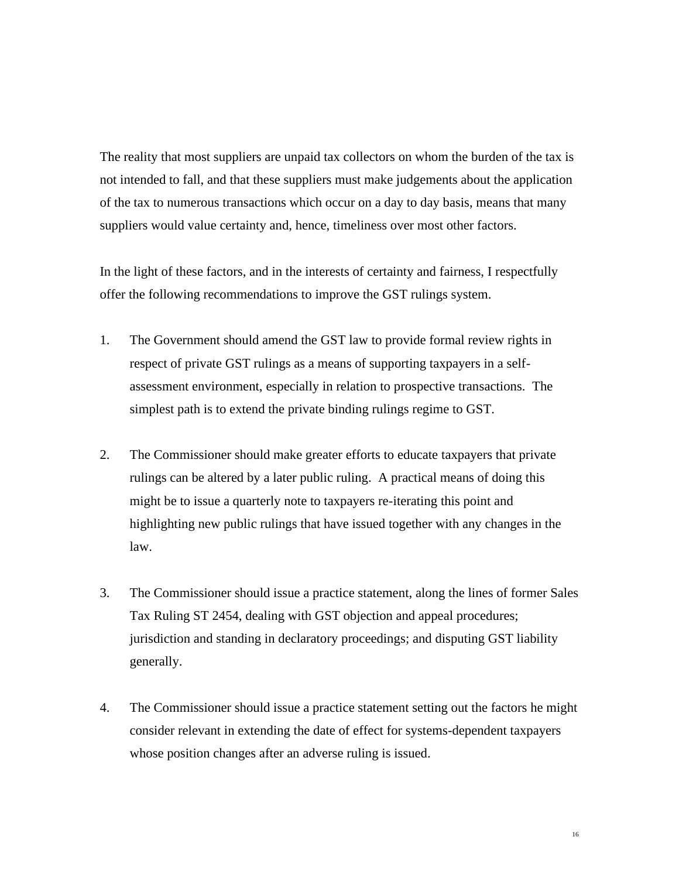The reality that most suppliers are unpaid tax collectors on whom the burden of the tax is not intended to fall, and that these suppliers must make judgements about the application of the tax to numerous transactions which occur on a day to day basis, means that many suppliers would value certainty and, hence, timeliness over most other factors.

In the light of these factors, and in the interests of certainty and fairness, I respectfully offer the following recommendations to improve the GST rulings system.

- 1. The Government should amend the GST law to provide formal review rights in respect of private GST rulings as a means of supporting taxpayers in a selfassessment environment, especially in relation to prospective transactions. The simplest path is to extend the private binding rulings regime to GST.
- 2. The Commissioner should make greater efforts to educate taxpayers that private rulings can be altered by a later public ruling. A practical means of doing this might be to issue a quarterly note to taxpayers re-iterating this point and highlighting new public rulings that have issued together with any changes in the law.
- 3. The Commissioner should issue a practice statement, along the lines of former Sales Tax Ruling ST 2454, dealing with GST objection and appeal procedures; jurisdiction and standing in declaratory proceedings; and disputing GST liability generally.
- 4. The Commissioner should issue a practice statement setting out the factors he might consider relevant in extending the date of effect for systems-dependent taxpayers whose position changes after an adverse ruling is issued.